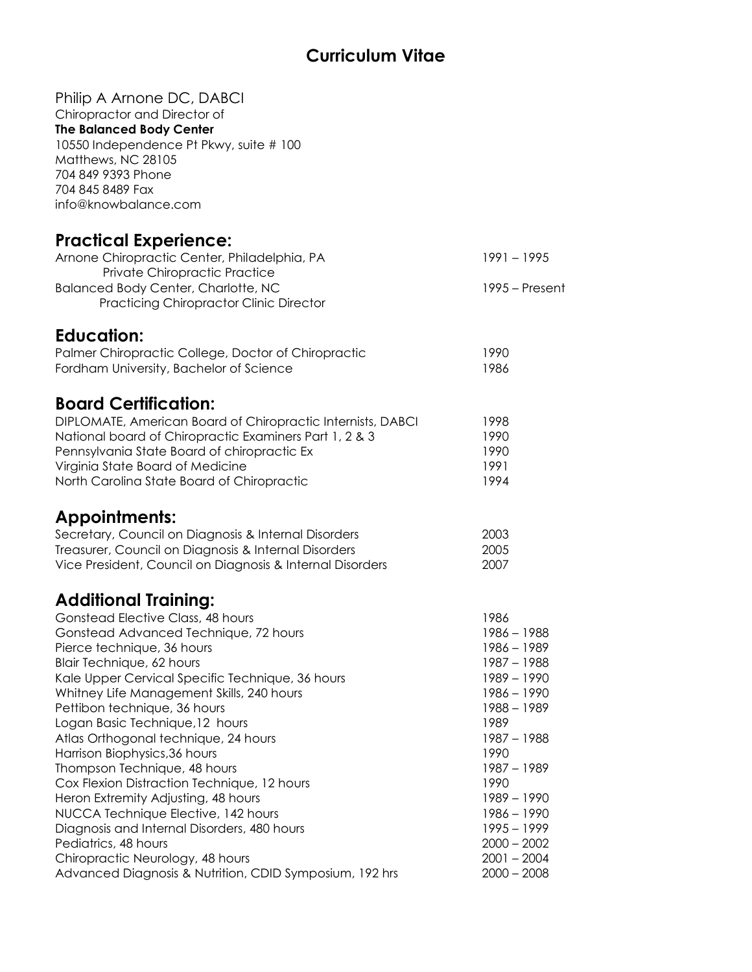## **Curriculum Vitae**

| Philip A Arnone DC, DABCI                                   |                  |
|-------------------------------------------------------------|------------------|
| Chiropractor and Director of                                |                  |
| <b>The Balanced Body Center</b>                             |                  |
| 10550 Independence Pt Pkwy, suite # 100                     |                  |
| Matthews, NC 28105                                          |                  |
| 704 849 9393 Phone                                          |                  |
| 704 845 8489 Fax                                            |                  |
| info@knowbalance.com                                        |                  |
| <b>Practical Experience:</b>                                |                  |
| Arnone Chiropractic Center, Philadelphia, PA                | $1991 - 1995$    |
| Private Chiropractic Practice                               |                  |
| <b>Balanced Body Center, Charlotte, NC</b>                  | $1995 -$ Present |
| <b>Practicing Chiropractor Clinic Director</b>              |                  |
| <b>Education:</b>                                           |                  |
| Palmer Chiropractic College, Doctor of Chiropractic         | 1990             |
| Fordham University, Bachelor of Science                     | 1986             |
|                                                             |                  |
| <b>Board Certification:</b>                                 |                  |
| DIPLOMATE, American Board of Chiropractic Internists, DABCI | 1998             |
| National board of Chiropractic Examiners Part 1, 2 & 3      | 1990             |
| Pennsylvania State Board of chiropractic Ex                 | 1990             |
| Virginia State Board of Medicine                            | 1991             |
| North Carolina State Board of Chiropractic                  | 1994             |
| <b>Appointments:</b>                                        |                  |
| Secretary, Council on Diagnosis & Internal Disorders        | 2003             |
| Treasurer, Council on Diagnosis & Internal Disorders        | 2005             |
| Vice President, Council on Diagnosis & Internal Disorders   | 2007             |
| <b>Additional Training:</b>                                 |                  |
| Gonstead Elective Class, 48 hours                           | 1986             |
| Gonstead Advanced Technique, 72 hours                       | 1986 - 1988      |
| Pierce technique, 36 hours                                  | $1986 - 1989$    |
| Blair Technique, 62 hours                                   | 1987 - 1988      |
| Kale Upper Cervical Specific Technique, 36 hours            | $1989 - 1990$    |
| Whitney Life Management Skills, 240 hours                   | $1986 - 1990$    |
| Pettibon technique, 36 hours                                | 1988 - 1989      |
| Logan Basic Technique, 12 hours                             | 1989             |
| Atlas Orthogonal technique, 24 hours                        | 1987 - 1988      |
| Harrison Biophysics, 36 hours                               | 1990             |
| Thompson Technique, 48 hours                                | $1987 - 1989$    |
| Cox Flexion Distraction Technique, 12 hours                 | 1990             |
| Heron Extremity Adjusting, 48 hours                         | $1989 - 1990$    |
| NUCCA Technique Elective, 142 hours                         | 1986 - 1990      |
| Diagnosis and Internal Disorders, 480 hours                 | $1995 - 1999$    |
| Pediatrics, 48 hours                                        | $2000 - 2002$    |
| Chiropractic Neurology, 48 hours                            | $2001 - 2004$    |
| Advanced Diagnosis & Nutrition, CDID Symposium, 192 hrs     | $2000 - 2008$    |